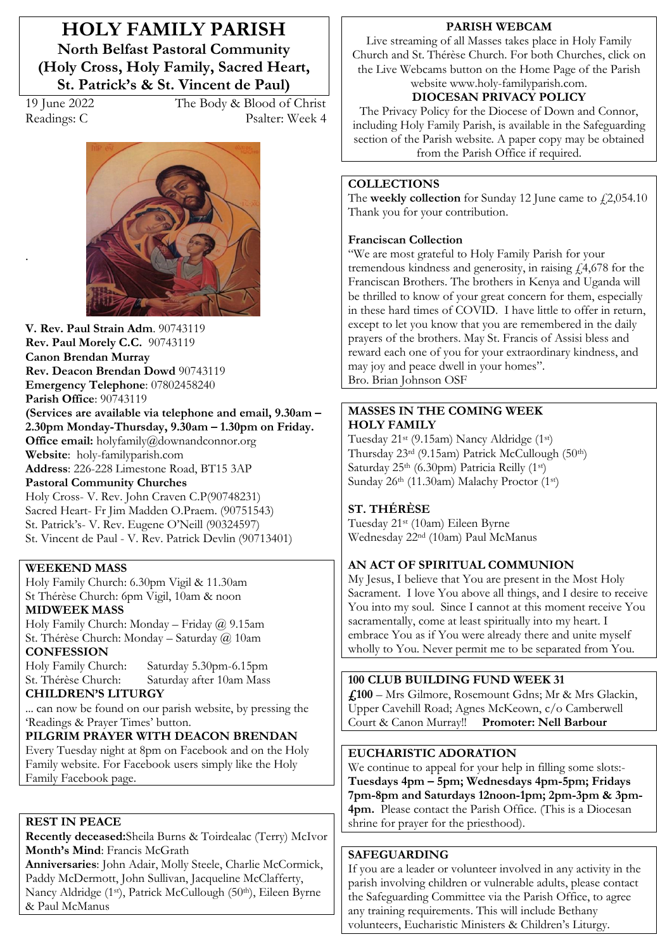# **HOLY FAMILY PARISH North Belfast Pastoral Community (Holy Cross, Holy Family, Sacred Heart,**  St. Patrick's & St. Vincent de Paul)

.

19 June 2022 The Body & Blood of Christ Readings: C Psalter: Week 4



**V. Rev. Paul Strain Adm**. 90743119 **Rev. Paul Morely C.C.** 90743119 **Canon Brendan Murray Rev. Deacon Brendan Dowd** 90743119 **Emergency Telephone**: 07802458240 **Parish Office**: 90743119 (Services are available via telephone and email, 9.30am - $2.30$ pm Monday-Thursday,  $9.30$ am  $-1.30$ pm on Friday. **Office email:** holyfamily@downandconnor.org **Website**: holy-familyparish.com **Address**: 226-228 Limestone Road, BT15 3AP **Pastoral Community Churches**

Holy Cross- V. Rev. John Craven C.P(90748231) Sacred Heart- Fr Jim Madden O.Praem. (90751543) St. Patrick's- V. Rev. Eugene O'Neill (90324597) St. Vincent de Paul - V. Rev. Patrick Devlin (90713401)

### **WEEKEND MASS**

Holy Family Church: 6.30pm Vigil & 11.30am St Thérèse Church: 6pm Vigil, 10am & noon **MIDWEEK MASS**

Holy Family Church: Monday - Friday  $\omega$  9.15am St. Thérèse Church: Monday - Saturday @ 10am **CONFESSION**

Holy Family Church: Saturday 5.30pm-6.15pm St. Thérèse Church: Saturday after 10am Mass

### **CHILDREN·S LITURGY**

... can now be found on our parish website, by pressing the 'Readings & Prayer Times' button.

# **PILGRIM PRAYER WITH DEACON BRENDAN**

Every Tuesday night at 8pm on Facebook and on the Holy Family website. For Facebook users simply like the Holy Family Facebook page.

#### **REST IN PEACE**

**Recently deceased:**Sheila Burns & Toirdealac (Terry) McIvor Month's Mind: Francis McGrath

**Anniversaries**: John Adair, Molly Steele, Charlie McCormick, Paddy McDermott, John Sullivan, Jacqueline McClafferty, Nancy Aldridge (1st), Patrick McCullough (50th), Eileen Byrne & Paul McManus

#### **PARISH WEBCAM**

Live streaming of all Masses takes place in Holy Family Church and St. Thérèse Church. For both Churches, click on the Live Webcams button on the Home Page of the Parish website www.holy-familyparish.com.

# **DIOCESAN PRIVACY POLICY**

The Privacy Policy for the Diocese of Down and Connor, including Holy Family Parish, is available in the Safeguarding section of the Parish website. A paper copy may be obtained from the Parish Office if required.

#### **COLLECTIONS**

The **weekly collection** for Sunday 12 June came to  $\text{\textsterling}2,054.10$ Thank you for your contribution.

#### **Franciscan Collection**

"We are most grateful to Holy Family Parish for your tremendous kindness and generosity, in raising  $\sqrt{4.678}$  for the Franciscan Brothers. The brothers in Kenya and Uganda will be thrilled to know of your great concern for them, especially in these hard times of COVID. I have little to offer in return, except to let you know that you are remembered in the daily prayers of the brothers. May St. Francis of Assisi bless and reward each one of you for your extraordinary kindness, and may joy and peace dwell in your homes". Bro. Brian Johnson OSF

#### **MASSES IN THE COMING WEEK HOLY FAMILY**

Tuesday 21st (9.15am) Nancy Aldridge (1st) Thursday 23rd (9.15am) Patrick McCullough (50th) Saturday 25<sup>th</sup> (6.30pm) Patricia Reilly (1<sup>st</sup>) Sunday 26th (11.30am) Malachy Proctor (1st)

#### **ST. THÉRÈSE**

Tuesday 21st (10am) Eileen Byrne Wednesday 22nd (10am) Paul McManus

#### **AN ACT OF SPIRITUAL COMMUNION**

My Jesus, I believe that You are present in the Most Holy Sacrament. I love You above all things, and I desire to receive You into my soul. Since I cannot at this moment receive You sacramentally, come at least spiritually into my heart. I embrace You as if You were already there and unite myself wholly to You. Never permit me to be separated from You.

### **100 CLUB BUILDING FUND WEEK 31**

£100 - Mrs Gilmore, Rosemount Gdns; Mr & Mrs Glackin, Upper Cavehill Road; Agnes McKeown, c/o Camberwell Court & Canon Murray!! **Promoter: Nell Barbour**

### **EUCHARISTIC ADORATION**

We continue to appeal for your help in filling some slots:-**Tuesdays 4pm ² 5pm; Wednesdays 4pm-5pm; Fridays 7pm-8pm and Saturdays 12noon-1pm; 2pm-3pm & 3pm-4pm.** Please contact the Parish Office. (This is a Diocesan shrine for prayer for the priesthood).

#### **SAFEGUARDING**

If you are a leader or volunteer involved in any activity in the parish involving children or vulnerable adults, please contact the Safeguarding Committee via the Parish Office, to agree any training requirements. This will include Bethany volunteers, Eucharistic Ministers & Children's Liturgy.